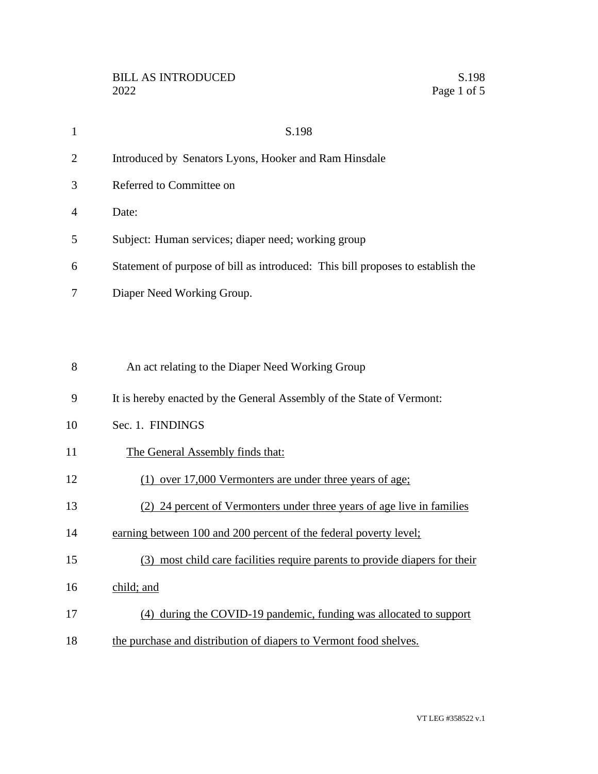|                | S.198                                                                           |
|----------------|---------------------------------------------------------------------------------|
| 2              | Introduced by Senators Lyons, Hooker and Ram Hinsdale                           |
| 3              | Referred to Committee on                                                        |
| $\overline{A}$ | Date:                                                                           |
| 5              | Subject: Human services; diaper need; working group                             |
| 6              | Statement of purpose of bill as introduced: This bill proposes to establish the |
|                | Diaper Need Working Group.                                                      |

| 8  | An act relating to the Diaper Need Working Group                        |
|----|-------------------------------------------------------------------------|
| 9  | It is hereby enacted by the General Assembly of the State of Vermont:   |
| 10 | Sec. 1. FINDINGS                                                        |
| 11 | The General Assembly finds that:                                        |
| 12 | over 17,000 Vermonters are under three years of age;                    |
| 13 | (2) 24 percent of Vermonters under three years of age live in families  |
| 14 | earning between 100 and 200 percent of the federal poverty level;       |
| 15 | most child care facilities require parents to provide diapers for their |
| 16 | child; and                                                              |
| 17 | during the COVID-19 pandemic, funding was allocated to support<br>(4)   |
| 18 | the purchase and distribution of diapers to Vermont food shelves.       |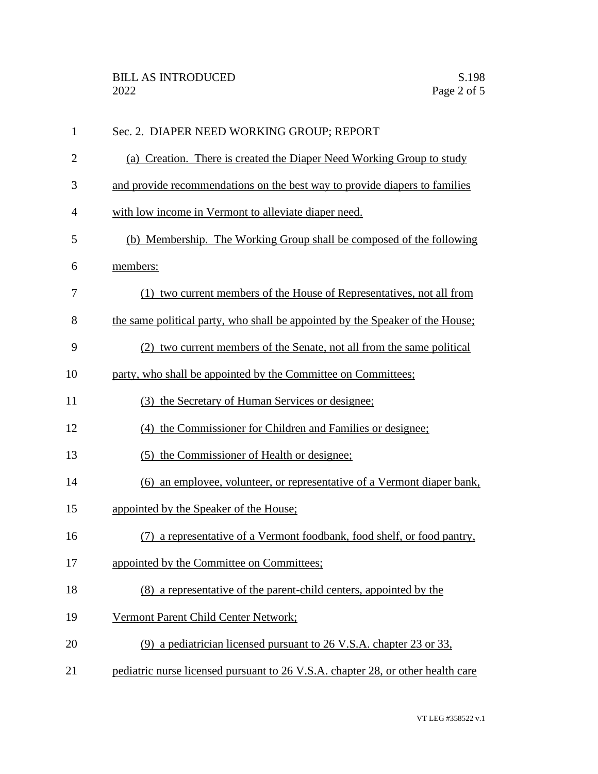| $\mathbf{1}$   | Sec. 2. DIAPER NEED WORKING GROUP; REPORT                                       |
|----------------|---------------------------------------------------------------------------------|
| $\overline{2}$ | (a) Creation. There is created the Diaper Need Working Group to study           |
| 3              | and provide recommendations on the best way to provide diapers to families      |
| 4              | with low income in Vermont to alleviate diaper need.                            |
| 5              | (b) Membership. The Working Group shall be composed of the following            |
| 6              | members:                                                                        |
| 7              | (1) two current members of the House of Representatives, not all from           |
| 8              | the same political party, who shall be appointed by the Speaker of the House;   |
| 9              | (2) two current members of the Senate, not all from the same political          |
| 10             | party, who shall be appointed by the Committee on Committees;                   |
| 11             | (3) the Secretary of Human Services or designee;                                |
| 12             | (4) the Commissioner for Children and Families or designee;                     |
| 13             | (5) the Commissioner of Health or designee;                                     |
| 14             | (6) an employee, volunteer, or representative of a Vermont diaper bank,         |
| 15             | appointed by the Speaker of the House;                                          |
| 16             | (7) a representative of a Vermont foodbank, food shelf, or food pantry,         |
| 17             | appointed by the Committee on Committees;                                       |
| 18             | (8) a representative of the parent-child centers, appointed by the              |
| 19             | Vermont Parent Child Center Network;                                            |
| 20             | (9) a pediatrician licensed pursuant to 26 V.S.A. chapter 23 or 33,             |
| 21             | pediatric nurse licensed pursuant to 26 V.S.A. chapter 28, or other health care |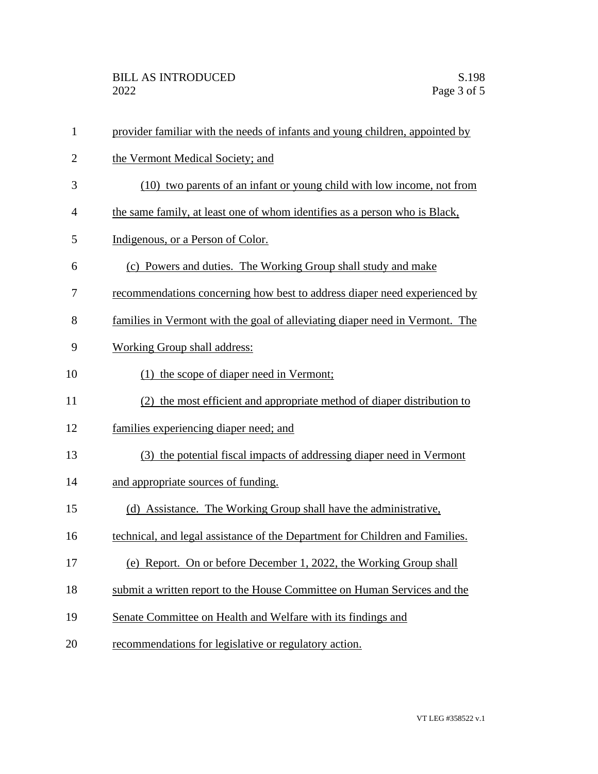| $\mathbf{1}$   | provider familiar with the needs of infants and young children, appointed by |
|----------------|------------------------------------------------------------------------------|
| $\overline{2}$ | the Vermont Medical Society; and                                             |
| 3              | (10) two parents of an infant or young child with low income, not from       |
| $\overline{4}$ | the same family, at least one of whom identifies as a person who is Black,   |
| 5              | Indigenous, or a Person of Color.                                            |
| 6              | (c) Powers and duties. The Working Group shall study and make                |
| 7              | recommendations concerning how best to address diaper need experienced by    |
| 8              | families in Vermont with the goal of alleviating diaper need in Vermont. The |
| 9              | Working Group shall address:                                                 |
| 10             | (1) the scope of diaper need in Vermont;                                     |
| 11             | (2) the most efficient and appropriate method of diaper distribution to      |
| 12             | families experiencing diaper need; and                                       |
| 13             | (3) the potential fiscal impacts of addressing diaper need in Vermont        |
| 14             | and appropriate sources of funding.                                          |
| 15             | (d) Assistance. The Working Group shall have the administrative,             |
| 16             | technical, and legal assistance of the Department for Children and Families. |
| 17             | (e) Report. On or before December 1, 2022, the Working Group shall           |
| 18             | submit a written report to the House Committee on Human Services and the     |
| 19             | Senate Committee on Health and Welfare with its findings and                 |
| 20             | recommendations for legislative or regulatory action.                        |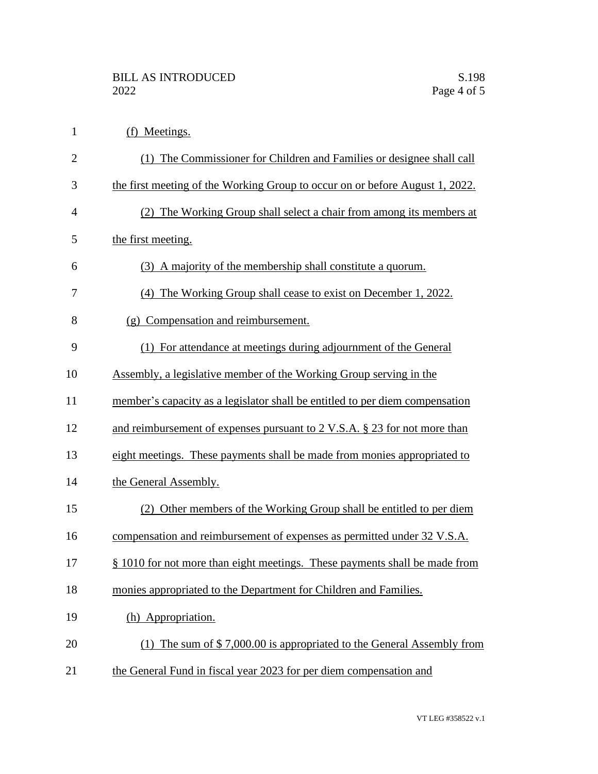| $\mathbf{1}$   | (f) Meetings.                                                                |
|----------------|------------------------------------------------------------------------------|
| $\overline{2}$ | (1) The Commissioner for Children and Families or designee shall call        |
| 3              | the first meeting of the Working Group to occur on or before August 1, 2022. |
| $\overline{4}$ | (2) The Working Group shall select a chair from among its members at         |
| 5              | the first meeting.                                                           |
| 6              | (3) A majority of the membership shall constitute a quorum.                  |
| 7              | (4) The Working Group shall cease to exist on December 1, 2022.              |
| 8              | (g) Compensation and reimbursement.                                          |
| 9              | (1) For attendance at meetings during adjournment of the General             |
| 10             | Assembly, a legislative member of the Working Group serving in the           |
| 11             | member's capacity as a legislator shall be entitled to per diem compensation |
| 12             | and reimbursement of expenses pursuant to 2 V.S.A. § 23 for not more than    |
| 13             | eight meetings. These payments shall be made from monies appropriated to     |
| 14             | the General Assembly.                                                        |
| 15             | (2) Other members of the Working Group shall be entitled to per diem         |
| 16             | compensation and reimbursement of expenses as permitted under 32 V.S.A.      |
| 17             | § 1010 for not more than eight meetings. These payments shall be made from   |
| 18             | monies appropriated to the Department for Children and Families.             |
| 19             | (h) Appropriation.                                                           |
| 20             | (1) The sum of $$7,000.00$ is appropriated to the General Assembly from      |
| 21             | the General Fund in fiscal year 2023 for per diem compensation and           |